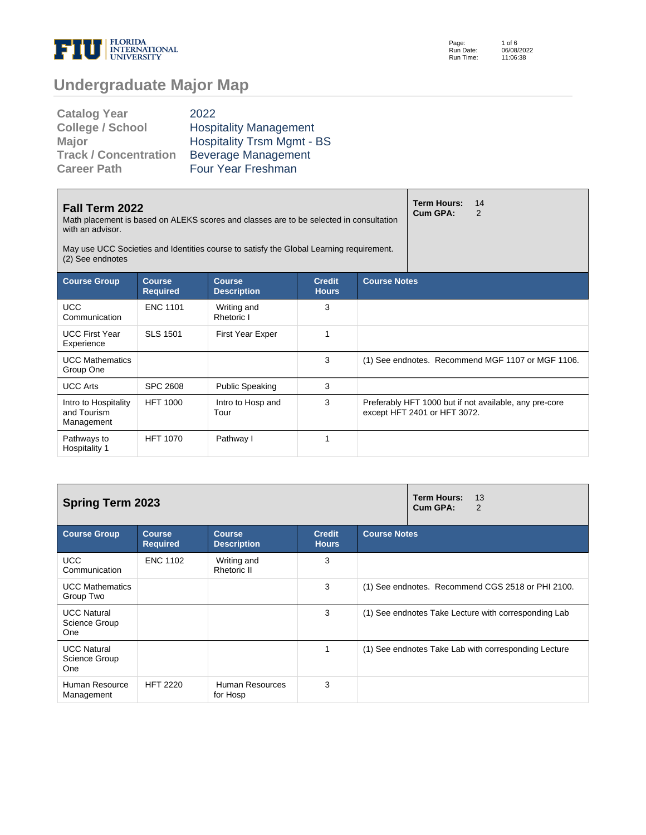

Page: Run Date: Run Time: 1 of 6 06/08/2022 11:06:38

## **Undergraduate Major Map**

| <b>Catalog Year</b>          | 2022                              |
|------------------------------|-----------------------------------|
| <b>College / School</b>      | <b>Hospitality Management</b>     |
| <b>Major</b>                 | <b>Hospitality Trsm Mgmt - BS</b> |
| <b>Track / Concentration</b> | <b>Beverage Management</b>        |
| <b>Career Path</b>           | Four Year Freshman                |

| Fall Term 2022<br>Math placement is based on ALEKS scores and classes are to be selected in consultation<br>with an advisor.<br>May use UCC Societies and Identities course to satisfy the Global Learning requirement.<br>(2) See endnotes |                                                                                                                                 |                           |   |  |                              | 14<br>2                                                |
|---------------------------------------------------------------------------------------------------------------------------------------------------------------------------------------------------------------------------------------------|---------------------------------------------------------------------------------------------------------------------------------|---------------------------|---|--|------------------------------|--------------------------------------------------------|
| <b>Course Group</b>                                                                                                                                                                                                                         | <b>Course Notes</b><br><b>Course</b><br><b>Course</b><br><b>Credit</b><br><b>Required</b><br><b>Description</b><br><b>Hours</b> |                           |   |  |                              |                                                        |
| <b>UCC</b><br>Communication                                                                                                                                                                                                                 | <b>ENC 1101</b>                                                                                                                 | Writing and<br>Rhetoric I | 3 |  |                              |                                                        |
| <b>UCC First Year</b><br>Experience                                                                                                                                                                                                         | <b>SLS 1501</b>                                                                                                                 | <b>First Year Exper</b>   | 1 |  |                              |                                                        |
| <b>UCC Mathematics</b><br>Group One                                                                                                                                                                                                         |                                                                                                                                 |                           | 3 |  |                              | (1) See endnotes. Recommend MGF 1107 or MGF 1106.      |
| <b>UCC Arts</b>                                                                                                                                                                                                                             | <b>SPC 2608</b>                                                                                                                 | <b>Public Speaking</b>    | 3 |  |                              |                                                        |
| Intro to Hospitality<br>and Tourism<br>Management                                                                                                                                                                                           | <b>HFT 1000</b>                                                                                                                 | Intro to Hosp and<br>Tour | 3 |  | except HFT 2401 or HFT 3072. | Preferably HFT 1000 but if not available, any pre-core |
| Pathways to<br>Hospitality 1                                                                                                                                                                                                                | <b>HFT 1070</b>                                                                                                                 | Pathway I                 | 1 |  |                              |                                                        |

| <b>Spring Term 2023</b>                    |                                  | <b>Term Hours:</b><br>13<br>Cum GPA:<br>2 |                               |                                                      |  |
|--------------------------------------------|----------------------------------|-------------------------------------------|-------------------------------|------------------------------------------------------|--|
| <b>Course Group</b>                        | <b>Course</b><br><b>Required</b> | <b>Course</b><br><b>Description</b>       | <b>Credit</b><br><b>Hours</b> | <b>Course Notes</b>                                  |  |
| <b>UCC</b><br>Communication                | <b>ENC 1102</b>                  | Writing and<br>Rhetoric II                | 3                             |                                                      |  |
| <b>UCC Mathematics</b><br>Group Two        |                                  |                                           | 3                             | (1) See endnotes. Recommend CGS 2518 or PHI 2100.    |  |
| <b>UCC Natural</b><br>Science Group<br>One |                                  |                                           | 3                             | (1) See endnotes Take Lecture with corresponding Lab |  |
| <b>UCC Natural</b><br>Science Group<br>One |                                  |                                           | 1                             | (1) See endnotes Take Lab with corresponding Lecture |  |
| Human Resource<br>Management               | <b>HFT 2220</b>                  | Human Resources<br>for Hosp               | 3                             |                                                      |  |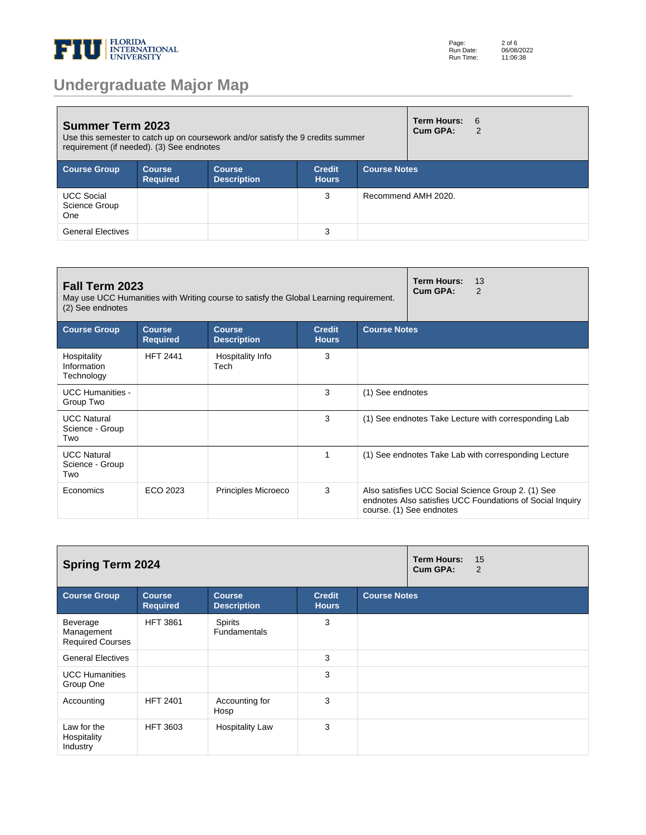

## **Undergraduate Major Map**

| <b>Summer Term 2023</b><br>Use this semester to catch up on coursework and/or satisfy the 9 credits summer<br>requirement (if needed). (3) See endnotes |                            |                                     |                               |                     | <b>Term Hours:</b><br>Cum GPA: | - 6<br>2 |
|---------------------------------------------------------------------------------------------------------------------------------------------------------|----------------------------|-------------------------------------|-------------------------------|---------------------|--------------------------------|----------|
| <b>Course Group</b>                                                                                                                                     | Course,<br><b>Required</b> | <b>Course</b><br><b>Description</b> | <b>Credit</b><br><b>Hours</b> | <b>Course Notes</b> |                                |          |
| <b>UCC Social</b><br>Science Group<br><b>One</b>                                                                                                        |                            |                                     | 3                             |                     | Recommend AMH 2020.            |          |
| <b>General Electives</b>                                                                                                                                |                            |                                     | 3                             |                     |                                |          |

| Fall Term 2023<br>May use UCC Humanities with Writing course to satisfy the Global Learning requirement.<br>(2) See endnotes |                                  | <b>Term Hours:</b><br>13<br>Cum GPA:<br>2 |                               |                     |                                                                                                                                             |
|------------------------------------------------------------------------------------------------------------------------------|----------------------------------|-------------------------------------------|-------------------------------|---------------------|---------------------------------------------------------------------------------------------------------------------------------------------|
| <b>Course Group</b>                                                                                                          | <b>Course</b><br><b>Required</b> | <b>Course</b><br><b>Description</b>       | <b>Credit</b><br><b>Hours</b> | <b>Course Notes</b> |                                                                                                                                             |
| Hospitality<br>Information<br>Technology                                                                                     | <b>HFT 2441</b>                  | Hospitality Info<br>Tech                  | 3                             |                     |                                                                                                                                             |
| <b>UCC Humanities -</b><br>Group Two                                                                                         |                                  |                                           | 3                             | (1) See endnotes    |                                                                                                                                             |
| <b>UCC Natural</b><br>Science - Group<br>Two                                                                                 |                                  |                                           | 3                             |                     | (1) See endnotes Take Lecture with corresponding Lab                                                                                        |
| <b>UCC Natural</b><br>Science - Group<br>Two                                                                                 |                                  |                                           |                               |                     | (1) See endnotes Take Lab with corresponding Lecture                                                                                        |
| Economics                                                                                                                    | ECO 2023                         | Principles Microeco                       | 3                             |                     | Also satisfies UCC Social Science Group 2. (1) See<br>endnotes Also satisfies UCC Foundations of Social Inquiry<br>course. (1) See endnotes |

| <b>Spring Term 2024</b>                           |                                  |                                       |                               |                     | <b>Term Hours:</b><br>Cum GPA: | 15<br>2 |
|---------------------------------------------------|----------------------------------|---------------------------------------|-------------------------------|---------------------|--------------------------------|---------|
| <b>Course Group</b>                               | <b>Course</b><br><b>Required</b> | <b>Course</b><br><b>Description</b>   | <b>Credit</b><br><b>Hours</b> | <b>Course Notes</b> |                                |         |
| Beverage<br>Management<br><b>Required Courses</b> | <b>HFT 3861</b>                  | <b>Spirits</b><br><b>Fundamentals</b> | 3                             |                     |                                |         |
| <b>General Electives</b>                          |                                  |                                       | 3                             |                     |                                |         |
| <b>UCC Humanities</b><br>Group One                |                                  |                                       | 3                             |                     |                                |         |
| Accounting                                        | <b>HFT 2401</b>                  | Accounting for<br>Hosp                | 3                             |                     |                                |         |
| Law for the<br>Hospitality<br>Industry            | <b>HFT 3603</b>                  | <b>Hospitality Law</b>                | 3                             |                     |                                |         |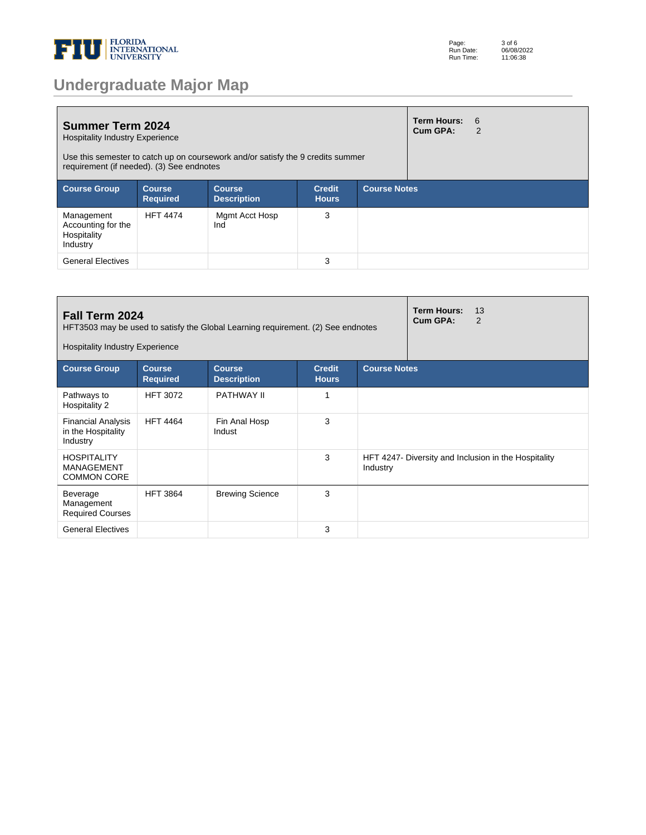

|  |  | <b>Undergraduate Major Map</b> |  |
|--|--|--------------------------------|--|
|  |  |                                |  |

| <b>Summer Term 2024</b><br><b>Hospitality Industry Experience</b><br>Use this semester to catch up on coursework and/or satisfy the 9 credits summer<br>requirement (if needed). (3) See endnotes |                                  |                                     |                               |                     | Term Hours:<br>Cum GPA: | - 6<br>2 |
|---------------------------------------------------------------------------------------------------------------------------------------------------------------------------------------------------|----------------------------------|-------------------------------------|-------------------------------|---------------------|-------------------------|----------|
| <b>Course Group</b>                                                                                                                                                                               | <b>Course</b><br><b>Required</b> | <b>Course</b><br><b>Description</b> | <b>Credit</b><br><b>Hours</b> | <b>Course Notes</b> |                         |          |
| Management<br>Accounting for the<br>Hospitality<br>Industry                                                                                                                                       | <b>HFT 4474</b>                  | Mgmt Acct Hosp<br>Ind               | 3                             |                     |                         |          |
| <b>General Electives</b>                                                                                                                                                                          |                                  |                                     | 3                             |                     |                         |          |

| Fall Term 2024<br>HFT3503 may be used to satisfy the Global Learning requirement. (2) See endnotes<br><b>Hospitality Industry Experience</b> |                                  | <b>Term Hours:</b><br>13<br>Cum GPA:<br>2 |                               |                     |                                                      |
|----------------------------------------------------------------------------------------------------------------------------------------------|----------------------------------|-------------------------------------------|-------------------------------|---------------------|------------------------------------------------------|
| <b>Course Group</b>                                                                                                                          | <b>Course</b><br><b>Required</b> | Course.<br><b>Description</b>             | <b>Credit</b><br><b>Hours</b> | <b>Course Notes</b> |                                                      |
| Pathways to<br>Hospitality 2                                                                                                                 | <b>HFT 3072</b>                  | PATHWAY II                                |                               |                     |                                                      |
| <b>Financial Analysis</b><br>in the Hospitality<br>Industry                                                                                  | <b>HFT 4464</b>                  | Fin Anal Hosp<br>Indust                   | 3                             |                     |                                                      |
| <b>HOSPITALITY</b><br><b>MANAGEMENT</b><br><b>COMMON CORE</b>                                                                                |                                  |                                           | 3                             | Industry            | HFT 4247- Diversity and Inclusion in the Hospitality |
| Beverage<br>Management<br><b>Required Courses</b>                                                                                            | <b>HFT 3864</b>                  | <b>Brewing Science</b>                    | 3                             |                     |                                                      |
| <b>General Electives</b>                                                                                                                     |                                  |                                           | 3                             |                     |                                                      |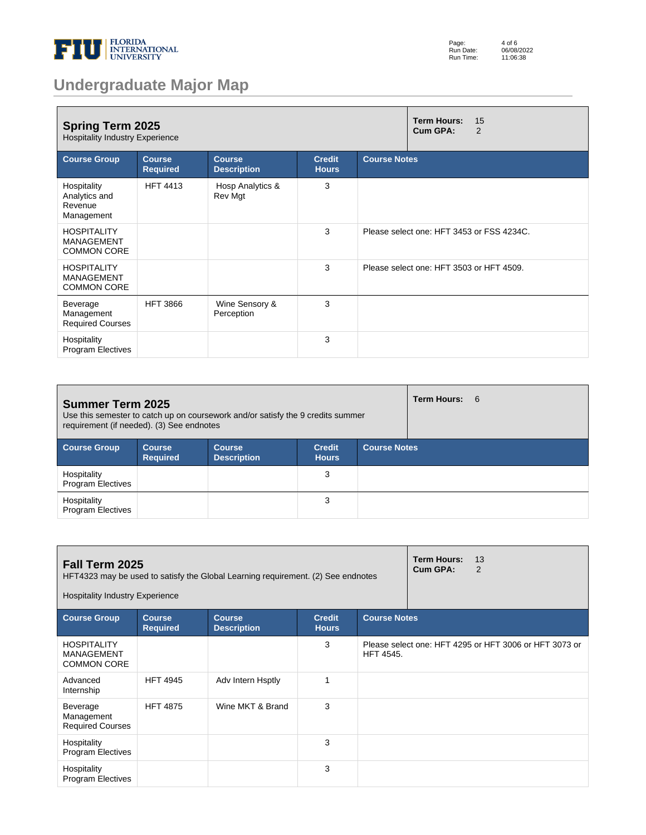

| Page:     | 4 of 6     |
|-----------|------------|
| Run Date: | 06/08/2022 |
| Run Time: | 11:06:38   |

# **Undergraduate Major Map**

| <b>Spring Term 2025</b><br><b>Hospitality Industry Experience</b> |                                  | <b>Term Hours:</b><br>15<br>Cum GPA:<br>2 |                               |                     |                                           |
|-------------------------------------------------------------------|----------------------------------|-------------------------------------------|-------------------------------|---------------------|-------------------------------------------|
| <b>Course Group</b>                                               | <b>Course</b><br><b>Required</b> | <b>Course</b><br><b>Description</b>       | <b>Credit</b><br><b>Hours</b> | <b>Course Notes</b> |                                           |
| Hospitality<br>Analytics and<br>Revenue<br>Management             | <b>HFT 4413</b>                  | Hosp Analytics &<br>Rev Mgt               | 3                             |                     |                                           |
| <b>HOSPITALITY</b><br><b>MANAGEMENT</b><br><b>COMMON CORE</b>     |                                  |                                           | 3                             |                     | Please select one: HFT 3453 or FSS 4234C. |
| <b>HOSPITALITY</b><br><b>MANAGEMENT</b><br><b>COMMON CORE</b>     |                                  |                                           | 3                             |                     | Please select one: HFT 3503 or HFT 4509.  |
| Beverage<br>Management<br><b>Required Courses</b>                 | <b>HFT 3866</b>                  | Wine Sensory &<br>Perception              | 3                             |                     |                                           |
| Hospitality<br><b>Program Electives</b>                           |                                  |                                           | 3                             |                     |                                           |

| <b>Summer Term 2025</b><br>Use this semester to catch up on coursework and/or satisfy the 9 credits summer<br>requirement (if needed). (3) See endnotes |                                  |                                     |                               |                     | Term Hours: 6 |  |
|---------------------------------------------------------------------------------------------------------------------------------------------------------|----------------------------------|-------------------------------------|-------------------------------|---------------------|---------------|--|
| <b>Course Group</b>                                                                                                                                     | <b>Course</b><br><b>Required</b> | <b>Course</b><br><b>Description</b> | <b>Credit</b><br><b>Hours</b> | <b>Course Notes</b> |               |  |
| Hospitality<br><b>Program Electives</b>                                                                                                                 |                                  |                                     | 3                             |                     |               |  |
| Hospitality<br><b>Program Electives</b>                                                                                                                 |                                  |                                     | 3                             |                     |               |  |

| Fall Term 2025<br>HFT4323 may be used to satisfy the Global Learning requirement. (2) See endnotes<br><b>Hospitality Industry Experience</b> |                                  | <b>Term Hours:</b><br>Cum GPA:      | 13<br>2                       |                     |  |                                                        |
|----------------------------------------------------------------------------------------------------------------------------------------------|----------------------------------|-------------------------------------|-------------------------------|---------------------|--|--------------------------------------------------------|
| <b>Course Group</b>                                                                                                                          | <b>Course</b><br><b>Required</b> | <b>Course</b><br><b>Description</b> | <b>Credit</b><br><b>Hours</b> | <b>Course Notes</b> |  |                                                        |
| <b>HOSPITALITY</b><br><b>MANAGEMENT</b><br><b>COMMON CORE</b>                                                                                |                                  |                                     | 3                             | <b>HFT 4545.</b>    |  | Please select one: HFT 4295 or HFT 3006 or HFT 3073 or |
| Advanced<br>Internship                                                                                                                       | <b>HFT 4945</b>                  | Adv Intern Hsptly                   | 1                             |                     |  |                                                        |
| Beverage<br>Management<br><b>Required Courses</b>                                                                                            | <b>HFT 4875</b>                  | Wine MKT & Brand                    | 3                             |                     |  |                                                        |
| Hospitality<br><b>Program Electives</b>                                                                                                      |                                  |                                     | 3                             |                     |  |                                                        |
| Hospitality<br><b>Program Electives</b>                                                                                                      |                                  |                                     | 3                             |                     |  |                                                        |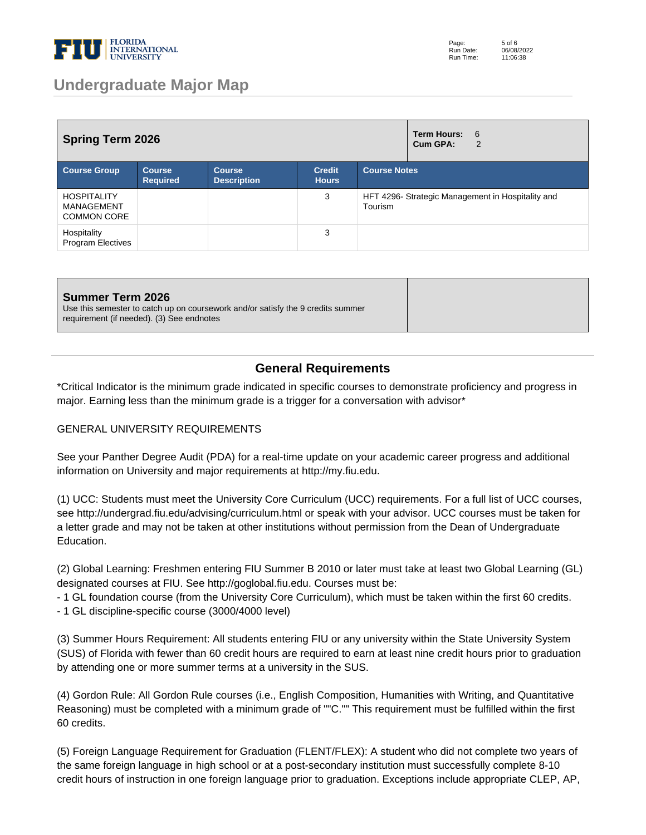

| <b>Spring Term 2026</b>                                |                                  |                                     |                               |                                                              | <b>Term Hours:</b><br>- 6<br>Cum GPA:<br>$\overline{2}$ |
|--------------------------------------------------------|----------------------------------|-------------------------------------|-------------------------------|--------------------------------------------------------------|---------------------------------------------------------|
| <b>Course Group</b>                                    | <b>Course</b><br><b>Required</b> | <b>Course</b><br><b>Description</b> | <b>Credit</b><br><b>Hours</b> | <b>Course Notes</b>                                          |                                                         |
| <b>HOSPITALITY</b><br>MANAGEMENT<br><b>COMMON CORE</b> |                                  |                                     | 3                             | HFT 4296- Strategic Management in Hospitality and<br>Tourism |                                                         |
| Hospitality<br>Program Electives                       |                                  |                                     | 3                             |                                                              |                                                         |

#### **Summer Term 2026**

Use this semester to catch up on coursework and/or satisfy the 9 credits summer requirement (if needed). (3) See endnotes

### **General Requirements**

\*Critical Indicator is the minimum grade indicated in specific courses to demonstrate proficiency and progress in major. Earning less than the minimum grade is a trigger for a conversation with advisor\*

#### GENERAL UNIVERSITY REQUIREMENTS

See your Panther Degree Audit (PDA) for a real-time update on your academic career progress and additional information on University and major requirements at http://my.fiu.edu.

(1) UCC: Students must meet the University Core Curriculum (UCC) requirements. For a full list of UCC courses, see http://undergrad.fiu.edu/advising/curriculum.html or speak with your advisor. UCC courses must be taken for a letter grade and may not be taken at other institutions without permission from the Dean of Undergraduate Education.

(2) Global Learning: Freshmen entering FIU Summer B 2010 or later must take at least two Global Learning (GL) designated courses at FIU. See http://goglobal.fiu.edu. Courses must be:

- 1 GL foundation course (from the University Core Curriculum), which must be taken within the first 60 credits.

- 1 GL discipline-specific course (3000/4000 level)

(3) Summer Hours Requirement: All students entering FIU or any university within the State University System (SUS) of Florida with fewer than 60 credit hours are required to earn at least nine credit hours prior to graduation by attending one or more summer terms at a university in the SUS.

(4) Gordon Rule: All Gordon Rule courses (i.e., English Composition, Humanities with Writing, and Quantitative Reasoning) must be completed with a minimum grade of ""C."" This requirement must be fulfilled within the first 60 credits.

(5) Foreign Language Requirement for Graduation (FLENT/FLEX): A student who did not complete two years of the same foreign language in high school or at a post-secondary institution must successfully complete 8-10 credit hours of instruction in one foreign language prior to graduation. Exceptions include appropriate CLEP, AP,